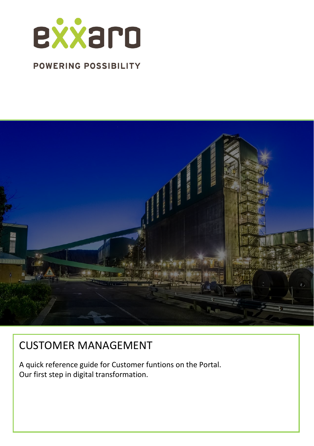

## **POWERING POSSIBILITY**



# CUSTOMER MANAGEMENT

A quick reference guide for Customer funtions on the Portal. Our first step in digital transformation.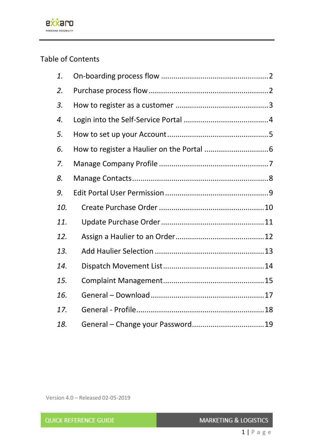

## Table of Contents

| 1.  |  |  |  |  |
|-----|--|--|--|--|
| 2.  |  |  |  |  |
| 3.  |  |  |  |  |
| 4.  |  |  |  |  |
| 5.  |  |  |  |  |
| 6.  |  |  |  |  |
| 7.  |  |  |  |  |
| 8.  |  |  |  |  |
| 9.  |  |  |  |  |
| 10. |  |  |  |  |
| 11. |  |  |  |  |
| 12. |  |  |  |  |
| 13. |  |  |  |  |
| 14. |  |  |  |  |
| 15. |  |  |  |  |
| 16. |  |  |  |  |
| 17. |  |  |  |  |
| 18. |  |  |  |  |

Version 4.0 – Released 02-05-2019

| <b>QUICK REFERENCE GUIDE</b> | <b>MARKETING &amp; LOGISTICS</b> |
|------------------------------|----------------------------------|
|------------------------------|----------------------------------|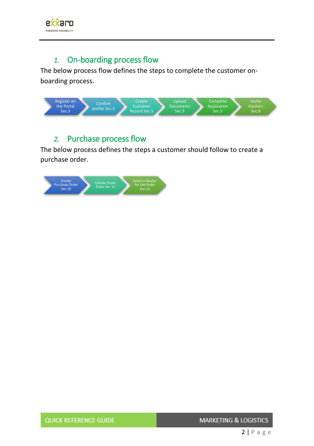

#### *1.* On-boarding process flow

<span id="page-2-0"></span>The below process flow defines the steps to complete the customer onboarding process.



## *2.* Purchase process flow

<span id="page-2-1"></span>The below process defines the steps a customer should follow to create a purchase order.

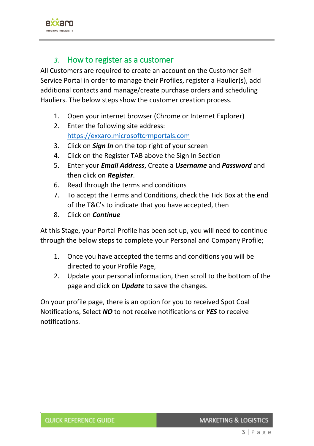

#### *3.* How to register as a customer

<span id="page-3-0"></span>All Customers are required to create an account on the Customer Self-Service Portal in order to manage their Profiles, register a Haulier(s), add additional contacts and manage/create purchase orders and scheduling Hauliers. The below steps show the customer creation process.

- 1. Open your internet browser (Chrome or Internet Explorer)
- 2. Enter the following site address: [https://exxaro.microsoftcrmportals.com](https://exxaro.microsoftcrmportals.com/)
- 3. Click on *Sign In* on the top right of your screen
- 4. Click on the Register TAB above the Sign In Section
- 5. Enter your *Email Address*, Create a *Username* and *Password* and then click on *Register*.
- 6. Read through the terms and conditions
- 7. To accept the Terms and Conditions, check the Tick Box at the end of the T&C's to indicate that you have accepted, then
- 8. Click on *Continue*

At this Stage, your Portal Profile has been set up, you will need to continue through the below steps to complete your Personal and Company Profile;

- 1. Once you have accepted the terms and conditions you will be directed to your Profile Page,
- 2. Update your personal information, then scroll to the bottom of the page and click on *Update* to save the changes.

On your profile page, there is an option for you to received Spot Coal Notifications, Select *NO* to not receive notifications or *YES* to receive notifications.

**MARKETING & LOGISTICS**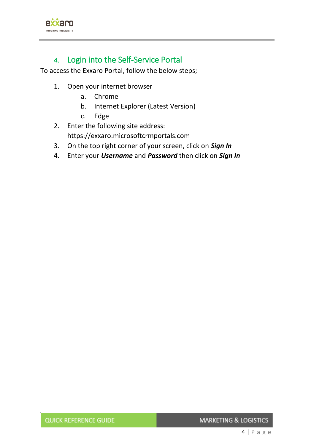

## *4.* Login into the Self-Service Portal

<span id="page-4-0"></span>To access the Exxaro Portal, follow the below steps;

- 1. Open your internet browser
	- a. Chrome
	- b. Internet Explorer (Latest Version)
	- c. Edge
- 2. Enter the following site address: https://exxaro.microsoftcrmportals.com
- 3. On the top right corner of your screen, click on *Sign In*
- 4. Enter your *Username* and *Password* then click on *Sign In*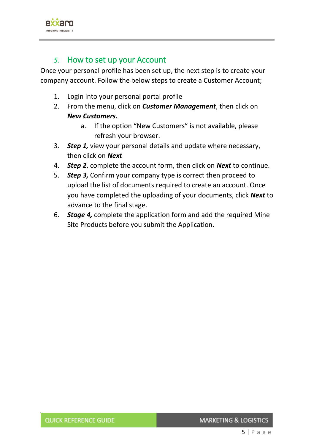

#### *5.* How to set up your Account

<span id="page-5-0"></span>Once your personal profile has been set up, the next step is to create your company account. Follow the below steps to create a Customer Account;

- 1. Login into your personal portal profile
- 2. From the menu, click on *Customer Management*, then click on *New Customers.*
	- a. If the option "New Customers" is not available, please refresh your browser.
- 3. *Step 1,* view your personal details and update where necessary, then click on *Next*
- 4. *Step 2*, complete the account form, then click on *Next* to continue.
- 5. *Step 3,* Confirm your company type is correct then proceed to upload the list of documents required to create an account. Once you have completed the uploading of your documents, click *Next* to advance to the final stage.
- 6. *Stage 4,* complete the application form and add the required Mine Site Products before you submit the Application.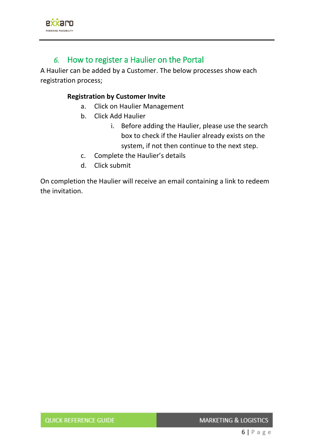

## *6.* How to register a Haulier on the Portal

<span id="page-6-0"></span>A Haulier can be added by a Customer. The below processes show each registration process;

#### **Registration by Customer Invite**

- a. Click on Haulier Management
- b. Click Add Haulier
	- i. Before adding the Haulier, please use the search box to check if the Haulier already exists on the system, if not then continue to the next step.
- c. Complete the Haulier's details
- d. Click submit

On completion the Haulier will receive an email containing a link to redeem the invitation.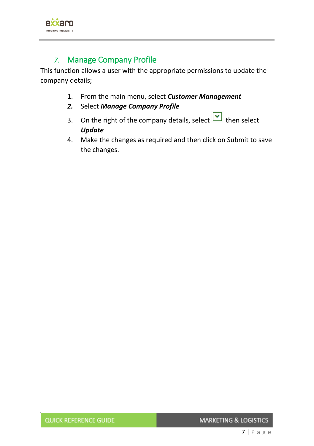

## *7.* Manage Company Profile

<span id="page-7-0"></span>This function allows a user with the appropriate permissions to update the company details;

- 1. From the main menu, select *Customer Management*
- *2.* Select *Manage Company Profile*
- 3. On the right of the company details, select  $\boxed{\bullet}$  then select *Update*
- 4. Make the changes as required and then click on Submit to save the changes.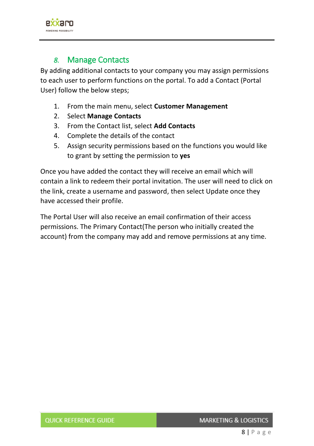

#### *8.* Manage Contacts

<span id="page-8-0"></span>By adding additional contacts to your company you may assign permissions to each user to perform functions on the portal. To add a Contact (Portal User) follow the below steps;

- 1. From the main menu, select **Customer Management**
- 2. Select **Manage Contacts**
- 3. From the Contact list, select **Add Contacts**
- 4. Complete the details of the contact
- 5. Assign security permissions based on the functions you would like to grant by setting the permission to **yes**

Once you have added the contact they will receive an email which will contain a link to redeem their portal invitation. The user will need to click on the link, create a username and password, then select Update once they have accessed their profile.

The Portal User will also receive an email confirmation of their access permissions. The Primary Contact(The person who initially created the account) from the company may add and remove permissions at any time.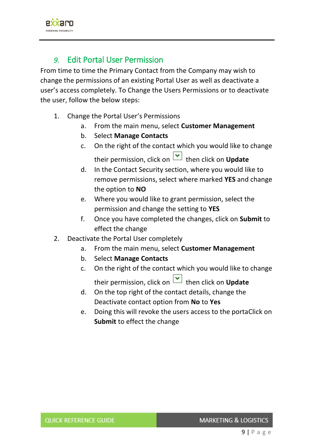

#### *9.* Edit Portal User Permission

<span id="page-9-0"></span>From time to time the Primary Contact from the Company may wish to change the permissions of an existing Portal User as well as deactivate a user's access completely. To Change the Users Permissions or to deactivate the user, follow the below steps:

- 1. Change the Portal User's Permissions
	- a. From the main menu, select **Customer Management**
	- b. Select **Manage Contacts**
	- c. On the right of the contact which you would like to change their permission, click on **v** then click on **Update**
	- d. In the Contact Security section, where you would like to remove permissions, select where marked **YES** and change the option to **NO**
	- e. Where you would like to grant permission, select the permission and change the setting to **YES**
	- f. Once you have completed the changes, click on **Submit** to effect the change
- 2. Deactivate the Portal User completely
	- a. From the main menu, select **Customer Management**
	- b. Select **Manage Contacts**
	- c. On the right of the contact which you would like to change their permission, click on **v** then click on **Update**
	- d. On the top right of the contact details, change the Deactivate contact option from **No** to **Yes**
	- e. Doing this will revoke the users access to the portaClick on **Submit** to effect the change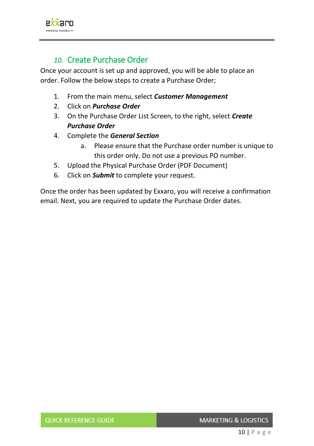

### *10.* Create Purchase Order

<span id="page-10-0"></span>Once your account is set up and approved, you will be able to place an order. Follow the below steps to create a Purchase Order;

- 1. From the main menu, select *Customer Management*
- 2. Click on *Purchase Order*
- 3. On the Purchase Order List Screen, to the right, select *Create Purchase Order*
- 4. Complete the *General Section*
	- a. Please ensure that the Purchase order number is unique to this order only. Do not use a previous PO number.
- 5. Upload the Physical Purchase Order (PDF Document)
- 6. Click on *Submit* to complete your request.

Once the order has been updated by Exxaro, you will receive a confirmation email. Next, you are required to update the Purchase Order dates.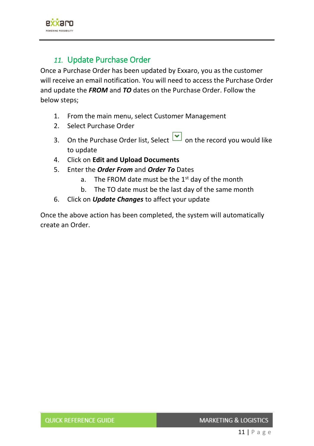

## *11.* Update Purchase Order

<span id="page-11-0"></span>Once a Purchase Order has been updated by Exxaro, you as the customer will receive an email notification. You will need to access the Purchase Order and update the *FROM* and *TO* dates on the Purchase Order. Follow the below steps;

- 1. From the main menu, select Customer Management
- 2. Select Purchase Order
- 3. On the Purchase Order list, Select on the record you would like to update
- 4. Click on **Edit and Upload Documents**
- 5. Enter the *Order From* and *Order To* Dates
	- a. The FROM date must be the  $1<sup>st</sup>$  day of the month
	- b. The TO date must be the last day of the same month
- 6. Click on *Update Changes* to affect your update

Once the above action has been completed, the system will automatically create an Order.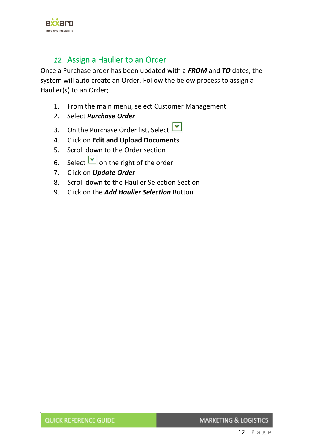

#### *12.* Assign a Haulier to an Order

<span id="page-12-0"></span>Once a Purchase order has been updated with a *FROM* and *TO* dates, the system will auto create an Order. Follow the below process to assign a Haulier(s) to an Order;

- 1. From the main menu, select Customer Management
- 2. Select *Purchase Order*
- 3. On the Purchase Order list, Select  $\boxed{\cdot}$
- 4. Click on **Edit and Upload Documents**
- 5. Scroll down to the Order section
- 6. Select  $\boxed{\bullet}$  on the right of the order
- 7. Click on *Update Order*
- 8. Scroll down to the Haulier Selection Section
- 9. Click on the *Add Haulier Selection* Button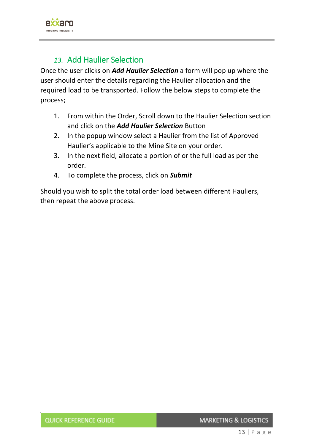

## *13.* Add Haulier Selection

<span id="page-13-0"></span>Once the user clicks on *Add Haulier Selection* a form will pop up where the user should enter the details regarding the Haulier allocation and the required load to be transported. Follow the below steps to complete the process;

- 1. From within the Order, Scroll down to the Haulier Selection section and click on the *Add Haulier Selection* Button
- 2. In the popup window select a Haulier from the list of Approved Haulier's applicable to the Mine Site on your order.
- 3. In the next field, allocate a portion of or the full load as per the order.
- 4. To complete the process, click on *Submit*

Should you wish to split the total order load between different Hauliers, then repeat the above process.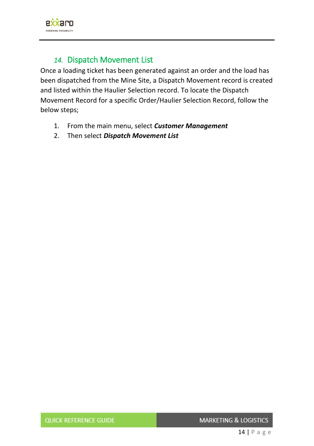

## *14.* Dispatch Movement List

<span id="page-14-0"></span>Once a loading ticket has been generated against an order and the load has been dispatched from the Mine Site, a Dispatch Movement record is created and listed within the Haulier Selection record. To locate the Dispatch Movement Record for a specific Order/Haulier Selection Record, follow the below steps;

- 1. From the main menu, select *Customer Management*
- 2. Then select *Dispatch Movement List*

**MARKETING & LOGISTICS**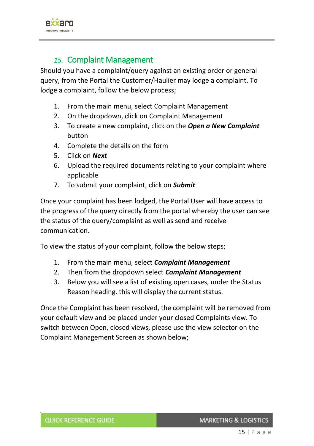

#### *15.* Complaint Management

<span id="page-15-0"></span>Should you have a complaint/query against an existing order or general query, from the Portal the Customer/Haulier may lodge a complaint. To lodge a complaint, follow the below process;

- 1. From the main menu, select Complaint Management
- 2. On the dropdown, click on Complaint Management
- 3. To create a new complaint, click on the *Open a New Complaint* button
- 4. Complete the details on the form
- 5. Click on *Next*
- 6. Upload the required documents relating to your complaint where applicable
- 7. To submit your complaint, click on *Submit*

Once your complaint has been lodged, the Portal User will have access to the progress of the query directly from the portal whereby the user can see the status of the query/complaint as well as send and receive communication.

To view the status of your complaint, follow the below steps;

- 1. From the main menu, select *Complaint Management*
- 2. Then from the dropdown select *Complaint Management*
- 3. Below you will see a list of existing open cases, under the Status Reason heading, this will display the current status.

Once the Complaint has been resolved, the complaint will be removed from your default view and be placed under your closed Complaints view. To switch between Open, closed views, please use the view selector on the Complaint Management Screen as shown below;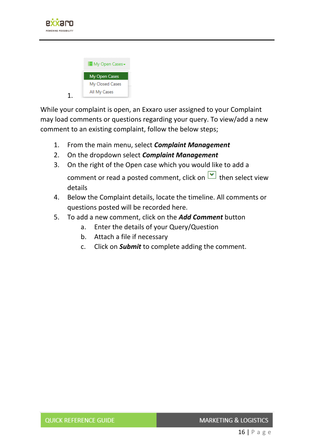

| <b>E</b> My Open Cases <del>-</del> |  |
|-------------------------------------|--|
| <b>My Open Cases</b>                |  |
| My Closed Cases                     |  |
| All My Cases                        |  |
|                                     |  |

While your complaint is open, an Exxaro user assigned to your Complaint may load comments or questions regarding your query. To view/add a new comment to an existing complaint, follow the below steps;

- 1. From the main menu, select *Complaint Management*
- 2. On the dropdown select *Complaint Management*
- 3. On the right of the Open case which you would like to add a comment or read a posted comment, click on  $\Box$  then select view details
- 4. Below the Complaint details, locate the timeline. All comments or questions posted will be recorded here.
- 5. To add a new comment, click on the *Add Comment* button
	- a. Enter the details of your Query/Question
	- b. Attach a file if necessary
	- c. Click on *Submit* to complete adding the comment.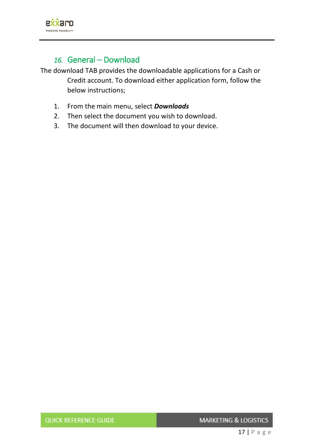

## *16.* General – Download

<span id="page-17-0"></span>The download TAB provides the downloadable applications for a Cash or Credit account. To download either application form, follow the below instructions;

- 1. From the main menu, select *Downloads*
- 2. Then select the document you wish to download.
- 3. The document will then download to your device.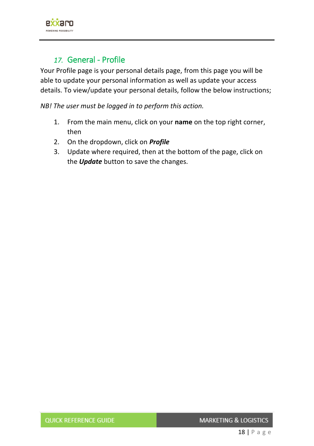

### *17.* General - Profile

<span id="page-18-0"></span>Your Profile page is your personal details page, from this page you will be able to update your personal information as well as update your access details. To view/update your personal details, follow the below instructions;

*NB! The user must be logged in to perform this action.*

- 1. From the main menu, click on your **name** on the top right corner, then
- 2. On the dropdown, click on *Profile*
- 3. Update where required, then at the bottom of the page, click on the *Update* button to save the changes.